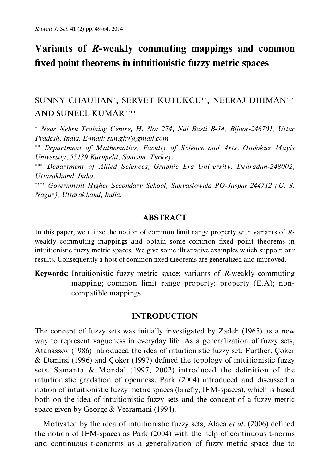# Variants of R-weakly commuting mappings and common fixed point theorems in intuitionistic fuzzy metric spaces

# SUNNY CHAUHAN\*, SERVET KUTUKCU\*\*, NEERAJ DHIMAN\*\*\* **AND SUNEEL KUMAR\*\*\*\***

\* Near Nehru Training Centre, H. No: 274, Nai Basti B-14, Bijnor-246701, Uttar Pradesh, India. E-mail: sun.gkv@gmail.com

\*\* Department of Mathematics, Faculty of Science and Arts, Ondokuz Mayis University, 55139 Kurupelit, Samsun, Turkey.

\*\*\* Department of Allied Sciences, Graphic Era University, Dehradun-248002, Uttarakhand India.

\*\*\*\* Government Higher Secondary School, Sanyasiowala PO-Jaspur 244712 (U.S. Nagar), Uttarakhand, India.

# **ABSTRACT**

In this paper, we utilize the notion of common limit range property with variants of  $R$ weakly commuting mappings and obtain some common fixed point theorems in intuitionistic fuzzy metric spaces. We give some illustrative examples which support our results. Consequently a host of common fixed theorems are generalized and improved.

**Keywords:** Intuitionistic fuzzy metric space; variants of R-weakly commuting mapping; common limit range property; property (E.A); noncompatible mappings.

# **INTRODUCTION**

The concept of fuzzy sets was initially investigated by Zadeh (1965) as a new way to represent vagueness in everyday life. As a generalization of fuzzy sets, Atanassov (1986) introduced the idea of intuitionistic fuzzy set. Further, Çoker & Demirsi (1996) and Coker (1997) defined the topology of intuitionistic fuzzy sets. Samanta & Mondal (1997, 2002) introduced the definition of the intuitionistic gradation of openness. Park (2004) introduced and discussed a notion of intuitionistic fuzzy metric spaces (briefly, IFM-spaces), which is based both on the idea of intuitionistic fuzzy sets and the concept of a fuzzy metric space given by George & Veeramani (1994).

Motivated by the idea of intuitionistic fuzzy sets, Alaca et al. (2006) defined the notion of IFM-spaces as Park (2004) with the help of continuous t-norms and continuous t-conorms as a generalization of fuzzy metric space due to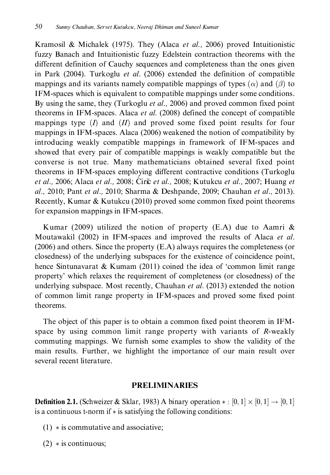Kramosil & Michalek (1975). They (Alaca et al., 2006) proved Intuitionistic fuzzy Banach and Intuitionistic fuzzy Edelstein contraction theorems with the different definition of Cauchy sequences and completeness than the ones given in Park (2004). Turkoglu et al. (2006) extended the definition of compatible mappings and its variants namely compatible mappings of types  $(\alpha)$  and  $(\beta)$  to IFM-spaces which is equivalent to compatible mappings under some conditions. By using the same, they (Turkoglu *et al.*, 2006) and proved common fixed point theorems in IFM-spaces. Alaca et al. (2008) defined the concept of compatible mappings type  $(I)$  and  $(II)$  and proved some fixed point results for four mappings in IFM-spaces. Alaca (2006) weakened the notion of compatibility by introducing weakly compatible mappings in framework of IFM-spaces and showed that every pair of compatible mappings is weakly compatible but the converse is not true. Many mathematicians obtained several fixed point theorems in IFM-spaces employing different contractive conditions (Turkoglu et al., 2006; Alaca et al., 2008; Ćirić et al., 2008; Kutukcu et al., 2007; Huang et al., 2010; Pant et al., 2010; Sharma & Deshpande, 2009; Chauhan et al., 2013). Recently, Kumar & Kutukcu (2010) proved some common fixed point theorems for expansion mappings in IFM-spaces.

Kumar (2009) utilized the notion of property (E.A) due to Aamri  $\&$ Moutawakil (2002) in IFM-spaces and improved the results of Alaca et al.  $(2006)$  and others. Since the property  $(E.A)$  always requires the completeness (or closedness) of the underlying subspaces for the existence of coincidence point, hence Sintunavarat & Kumam (2011) coined the idea of 'common limit range property' which relaxes the requirement of completeness (or closedness) of the underlying subspace. Most recently, Chauhan et al. (2013) extended the notion of common limit range property in IFM-spaces and proved some fixed point theorems.

The object of this paper is to obtain a common fixed point theorem in IFMspace by using common limit range property with variants of R-weakly commuting mappings. We furnish some examples to show the validity of the main results. Further, we highlight the importance of our main result over several recent literature.

# **PRELIMINARIES**

**Definition 2.1.** (Schweizer & Sklar, 1983) A binary operation  $*:[0,1] \times [0,1] \rightarrow [0,1]$ is a continuous t-norm if  $*$  is satisfying the following conditions:

- $(1)$  \* is commutative and associative;
- $(2) * is continuous;$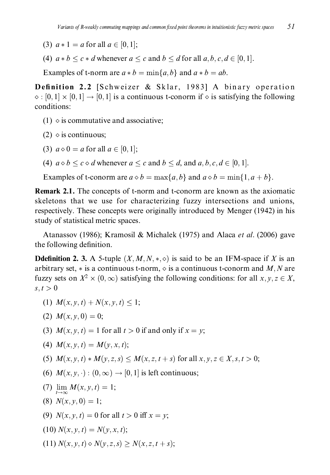- (3)  $a * 1 = a$  for all  $a \in [0, 1]$ ;
- (4)  $a * b \leq c * d$  whenever  $a \leq c$  and  $b \leq d$  for all  $a, b, c, d \in [0, 1]$ .

Examples of t-norm are  $a * b = min\{a, b\}$  and  $a * b = ab$ .

Definition 2.2 [Schweizer & Sklar, 1983] A binary operation  $\diamond$ : [0, 1]  $\times$  [0, 1]  $\rightarrow$  [0, 1] is a continuous t-conorm if  $\diamond$  is satisfying the following conditions:

- $(1)$   $\diamond$  is commutative and associative:
- $(2)$   $\diamond$  is continuous;
- (3)  $a \diamond 0 = a$  for all  $a \in [0, 1]$ ;
- (4)  $a \diamond b \le c \diamond d$  whenever  $a \le c$  and  $b \le d$ , and  $a, b, c, d \in [0, 1]$ .

Examples of t-conorm are  $a \diamond b = \max\{a, b\}$  and  $a \diamond b = \min\{1, a + b\}$ .

**Remark 2.1.** The concepts of t-norm and t-conorm are known as the axiomatic skeletons that we use for characterizing fuzzy intersections and unions, respectively. These concepts were originally introduced by Menger (1942) in his study of statistical metric spaces.

Atanassov (1986); Kramosil & Michalek (1975) and Alaca et al. (2006) gave the following definition.

**Ddefinition 2. 3.** A 5-tuple  $(X, M, N, *, \diamond)$  is said to be an IFM-space if X is an arbitrary set,  $*$  is a continuous t-norm,  $\diamond$  is a continuous t-conorm and M, N are fuzzy sets on  $X^2 \times (0, \infty)$  satisfying the following conditions: for all  $x, y, z \in X$ ,  $s, t > 0$ 

- (1)  $M(x, y, t) + N(x, y, t) \leq 1$ :
- (2)  $M(x, y, 0) = 0$ ;
- (3)  $M(x, y, t) = 1$  for all  $t > 0$  if and only if  $x = y$ ;

(4) 
$$
M(x, y, t) = M(y, x, t);
$$

- (5)  $M(x, y, t) * M(y, z, s) \leq M(x, z, t + s)$  for all  $x, y, z \in X, s, t > 0$ ;
- (6)  $M(x, y, \cdot) : (0, \infty) \rightarrow [0, 1]$  is left continuous;
- (7)  $\lim_{t \to \infty} M(x, y, t) = 1;$
- (8)  $N(x, y, 0) = 1$ ;
- (9)  $N(x, y, t) = 0$  for all  $t > 0$  iff  $x = y$ ;
- $(10) N(x, y, t) = N(y, x, t);$
- (11)  $N(x, y, t) \diamond N(y, z, s) > N(x, z, t + s);$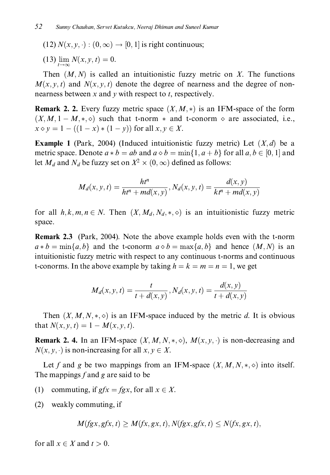(12)  $N(x, y, \cdot) : (0, \infty) \rightarrow [0, 1]$  is right continuous;

(13)  $\lim_{t \to \infty} N(x, y, t) = 0.$ 

Then  $(M, N)$  is called an intuitionistic fuzzy metric on X. The functions  $M(x, y, t)$  and  $N(x, y, t)$  denote the degree of nearness and the degree of nonnearness between x and y with respect to t, respectively.

**Remark 2. 2.** Every fuzzy metric space  $(X, M, *)$  is an IFM-space of the form  $(X, M, 1 - M, *, \diamond)$  such that t-norm  $*$  and t-conorm  $\diamond$  are associated, i.e.,  $x \diamond y = 1 - ((1 - x) * (1 - y))$  for all  $x, y \in X$ .

**Example 1** (Park, 2004) (Induced intuitionistic fuzzy metric) Let  $(X,d)$  be a metric space. Denote  $a * b = ab$  and  $a \diamond b = \min\{1, a + b\}$  for all  $a, b \in [0, 1]$  and let  $M_d$  and  $N_d$  be fuzzy set on  $X^2 \times (0, \infty)$  defined as follows:

$$
M_d(x, y, t) = \frac{ht^n}{ht^n + md(x, y)}, N_d(x, y, t) = \frac{d(x, y)}{kt^n + md(x, y)}
$$

for all  $h, k, m, n \in N$ . Then  $(X, M_d, N_d, \ast, \diamond)$  is an intuitionistic fuzzy metric space.

Remark 2.3 (Park, 2004). Note the above example holds even with the t-norm  $a * b = \min\{a, b\}$  and the t-conorm  $a \diamond b = \max\{a, b\}$  and hence  $(M, N)$  is an intuitionistic fuzzy metric with respect to any continuous t-norms and continuous t-conorms. In the above example by taking  $h = k = m = n = 1$ , we get

$$
M_d(x, y, t) = \frac{t}{t + d(x, y)}, N_d(x, y, t) = \frac{d(x, y)}{t + d(x, y)}
$$

Then  $(X, M, N, \ast, \diamond)$  is an IFM-space induced by the metric d. It is obvious that  $N(x, y, t) = 1 - M(x, y, t)$ .

**Remark 2. 4.** In an IFM-space  $(X, M, N, *, \diamond)$ ,  $M(x, y, \cdot)$  is non-decreasing and  $N(x, y, \cdot)$  is non-increasing for all  $x, y \in X$ .

Let f and g be two mappings from an IFM-space  $(X, M, N, *, \diamond)$  into itself. The mappings f and g are said to be

- $(1)$ commuting, if  $gfx = fgx$ , for all  $x \in X$ .
- (2) weakly commuting, if

$$
M(fgx, gfx, t) \ge M(fx, gx, t), N(fgx, gfx, t) \le N(fx, gx, t),
$$

for all  $x \in X$  and  $t > 0$ .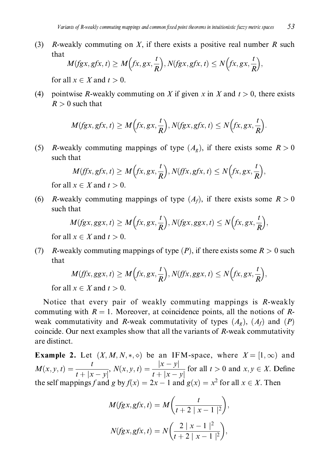$(3)$ R-weakly commuting on X, if there exists a positive real number R such that

$$
M(fgx, gfx, t) \ge M\Big(fx, gx, \frac{t}{R}\Big), N(fgx, gfx, t) \le N\Big(fx, gx, \frac{t}{R}\Big),
$$

for all  $x \in X$  and  $t > 0$ .

pointwise R-weakly commuting on X if given x in X and  $t > 0$ , there exists  $(4)$  $R > 0$  such that

$$
M(fgx, gfx, t) \ge M\left(fx, gx, \frac{t}{R}\right), N(fgx, gfx, t) \le N\left(fx, gx, \frac{t}{R}\right)
$$

*R*-weakly commuting mappings of type  $(A_g)$ , if there exists some  $R > 0$  $(5)$ such that

$$
M(ff x, g f x, t) \ge M\left(f x, g x, \frac{t}{R}\right), N(f f x, g f x, t) \le N\left(f x, g x, \frac{t}{R}\right)
$$

for all  $x \in X$  and  $t > 0$ .

*R*-weakly commuting mappings of type  $(A_f)$ , if there exists some  $R > 0$  $(6)$ such that

$$
M(fgx, ggx, t) \ge M\left(fx, gx, \frac{t}{R}\right), N(fgx, ggx, t) \le N\left(fx, gx, \frac{t}{R}\right),
$$

for all  $x \in X$  and  $t > 0$ .

 $(7)$ *R*-weakly commuting mappings of type  $(P)$ , if there exists some  $R > 0$  such that

$$
M(ff x, ggx, t) \ge M\Big(f x, g x, \frac{t}{R}\Big), N(f f x, g gx, t) \le N\Big(f x, g x, \frac{t}{R}\Big).
$$

for all  $x \in X$  and  $t > 0$ .

Notice that every pair of weakly commuting mappings is R-weakly commuting with  $R = 1$ . Moreover, at coincidence points, all the notions of Rweak commutativity and R-weak commutativity of types  $(A_{\sigma})$ ,  $(A_{f})$  and  $(P)$ coincide. Our next examples show that all the variants of R-weak commutativity are distinct.

**Example 2.** Let  $(X, M, N, \ast, \diamond)$  be an IFM-space, where  $X = [1, \infty)$  and  $M(x, y, t) = \frac{t}{t + |x - y|}, N(x, y, t) = \frac{|x - y|}{t + |x - y|}$  for all  $t > 0$  and  $x, y \in X$ . Define the self mappings f and g by  $f(x) = 2x - 1$  and  $g(x) = x^2$  for all  $x \in X$ . Then

$$
M(fgx, gfx, t) = M\left(\frac{t}{t+2|x-1|^2}\right),
$$
  

$$
N(fgx, gfx, t) = N\left(\frac{2|x-1|^2}{t+2|x-1|^2}\right),
$$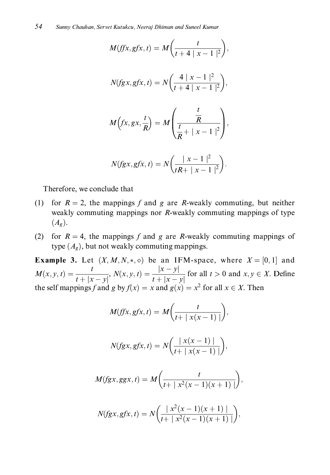$$
M(fx, gfx, t) = M\left(\frac{t}{t + 4 |x - 1|^2}\right),
$$
  

$$
N(fgx, gfx, t) = N\left(\frac{4 |x - 1|^2}{t + 4 |x - 1|^2}\right),
$$
  

$$
M\left(fx, gx, \frac{t}{R}\right) = M\left(\frac{\frac{t}{R}}{\frac{t}{R} + |x - 1|^2}\right),
$$
  

$$
N(fgx, gfx, t) = N\left(\frac{|x - 1|^2}{tR + |x - 1|^2}\right).
$$

Therefore, we conclude that

- (1) for  $R = 2$ , the mappings f and g are R-weakly commuting, but neither weakly commuting mappings nor  $R$ -weakly commuting mappings of type  $(A_{\sigma}).$
- (2) for  $R = 4$ , the mappings f and g are R-weakly commuting mappings of type  $(A_g)$ , but not weakly commuting mappings.

**Example 3.** Let  $(X, M, N, *, \diamond)$  be an IFM-space, where  $X = [0, 1]$  and  $M(x, y, t) = \frac{t}{t + |x - y|}, N(x, y, t) = \frac{|x - y|}{t + |x - y|}$  for all  $t > 0$  and  $x, y \in X$ . Define the self mappings f and g by  $f(x) = x$  and  $g(x) = x^2$  for all  $x \in X$ . Then

$$
M(ffx, gfx, t) = M\left(\frac{t}{t + |x(x - 1)|}\right),\,
$$

$$
N(fgx, gfx, t) = N\left(\frac{|x(x-1)|}{t+|x(x-1)|}\right),
$$

$$
M(fgx, ggx, t) = M\bigg(\frac{t}{t + \mid x^2(x - 1)(x + 1)\mid}\bigg),
$$

$$
N(fgx, gfx, t) = N\left(\frac{|x^2(x-1)(x+1)|}{t+|x^2(x-1)(x+1)|}\right),
$$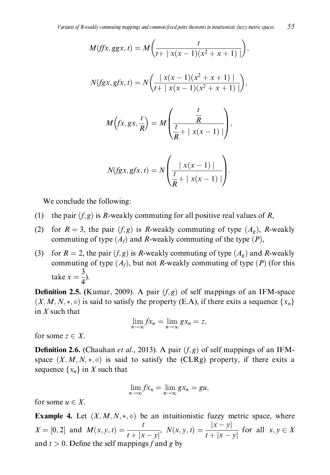$$
M(fx, ggx, t) = M\left(\frac{t}{t + |x(x - 1)(x^{2} + x + 1)|}\right),
$$
  

$$
N(fgx, gfx, t) = N\left(\frac{|x(x - 1)(x^{2} + x + 1)|}{t + |x(x - 1)(x^{2} + x + 1)|}\right),
$$
  

$$
M(fx, gx, \frac{t}{R}) = M\left(\frac{\frac{t}{R}}{\frac{t}{R} + |x(x - 1)|}\right),
$$
  

$$
N(fgx, gfx, t) = N\left(\frac{|x(x - 1)|}{\frac{t}{R} + |x(x - 1)|}\right).
$$

We conclude the following:

- (1) the pair  $(f, g)$  is R-weakly commuting for all positive real values of R,
- (2) for  $R = 3$ , the pair  $(f, g)$  is R-weakly commuting of type  $(A_g)$ , R-weakly commuting of type  $(A_f)$  and R-weakly commuting of the type  $(P)$ ,
- for  $R = 2$ , the pair  $(f, g)$  is R-weakly commuting of type  $(A_g)$  and R-weakly  $(3)$ commuting of type  $(A_f)$ , but not R-weakly commuting of type  $(P)$  (for this take  $x = \frac{3}{4}$ .

**Definition 2.5.** (Kumar, 2009). A pair  $(f, g)$  of self mappings of an IFM-space  $(X, M, N, * , \diamond)$  is said to satisfy the property (E.A), if there exits a sequence  $\{x_n\}$ in  $X$  such that

$$
\lim_{n\to\infty}fx_n=\lim_{n\to\infty}gx_n=z,
$$

for some  $z \in X$ .

**Definition 2.6.** (Chauhan *et al.*, 2013). A pair  $(f, g)$  of self mappings of an IFMspace  $(X, M, N, * , \diamond)$  is said to satisfy the (CLRg) property, if there exits a sequence  $\{x_n\}$  in X such that

$$
\lim_{n\to\infty}fx_n=\lim_{n\to\infty}gx_n=gu,
$$

for some  $u \in X$ .

**Example 4.** Let  $(X, M, N, *, \diamond)$  be an intuitionistic fuzzy metric space, where  $X = [0, 2]$  and  $M(x, y, t) = \frac{t}{t + |x - y|}$ ,  $N(x, y, t) = \frac{|x - y|}{t + |x - y|}$  for all  $x, y \in X$ and  $t > 0$ . Define the self mappings f and g by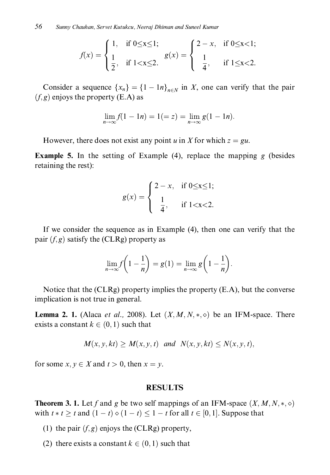$$
f(x) = \begin{cases} 1, & \text{if } 0 \le x \le 1; \\ \frac{1}{2}, & \text{if } 1 < x \le 2. \end{cases} \quad g(x) = \begin{cases} 2 - x, & \text{if } 0 \le x < 1; \\ \frac{1}{4}, & \text{if } 1 \le x < 2. \end{cases}
$$

Consider a sequence  $\{x_n\} = \{1 - \ln\}_{n \in N}$  in X, one can verify that the pair  $(f, g)$  enjoys the property (E.A) as

$$
\lim_{n \to \infty} f(1 - 1n) = 1 (= z) = \lim_{n \to \infty} g(1 - 1n).
$$

However, there does not exist any point u in X for which  $z = gu$ .

**Example 5.** In the setting of Example (4), replace the mapping  $g$  (besides retaining the rest):

$$
g(x) = \begin{cases} 2 - x, & \text{if } 0 \le x \le 1; \\ \frac{1}{4}, & \text{if } 1 < x < 2. \end{cases}
$$

If we consider the sequence as in Example (4), then one can verify that the pair  $(f, g)$  satisfy the (CLRg) property as

$$
\lim_{n \to \infty} f\left(1 - \frac{1}{n}\right) = g(1) = \lim_{n \to \infty} g\left(1 - \frac{1}{n}\right).
$$

Notice that the (CLRg) property implies the property (E.A), but the converse implication is not true in general.

**Lemma 2. 1.** (Alaca *et al.*, 2008). Let  $(X, M, N, *, \diamond)$  be an IFM-space. There exists a constant  $k \in (0, 1)$  such that

$$
M(x, y, kt) \ge M(x, y, t) \quad \text{and} \quad N(x, y, kt) \le N(x, y, t),
$$

for some  $x, y \in X$  and  $t > 0$ , then  $x = y$ .

#### **RESULTS**

**Theorem 3. 1.** Let f and g be two self mappings of an IFM-space  $(X, M, N, *, \diamond)$ with  $t * t \geq t$  and  $(1-t) \diamond (1-t) \leq 1-t$  for all  $t \in [0,1]$ . Suppose that

- (1) the pair  $(f, g)$  enjoys the (CLRg) property,
- (2) there exists a constant  $k \in (0, 1)$  such that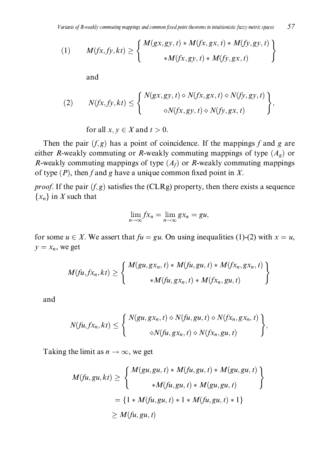(1) 
$$
M(fx, fy, kt) \ge \left\{ \begin{array}{c} M(gx, gy, t) * M(fx, gx, t) * M(fy, gy, t) \\ * M(fx, gy, t) * M(fy, gx, t) \end{array} \right\}
$$

and

(2) 
$$
N(fx, fy, kt) \leq \begin{cases} N(gx, gy, t) \diamond N(fx, gx, t) \diamond N(fy, gy, t) \\ \diamond N(fx, gy, t) \diamond N(fy, gx, t) \end{cases},
$$

for all  $x, y \in X$  and  $t > 0$ .

Then the pair  $(f, g)$  has a point of coincidence. If the mappings f and g are either R-weakly commuting or R-weakly commuting mappings of type  $(A_g)$  or R-weakly commuting mappings of type  $(A_f)$  or R-weakly commuting mappings of type  $(P)$ , then f and g have a unique common fixed point in X.

*proof.* If the pair  $(f, g)$  satisfies the (CLRg) property, then there exists a sequence  $\{x_n\}$  in X such that

$$
\lim_{n\to\infty}fx_n=\lim_{n\to\infty}gx_n=gu,
$$

for some  $u \in X$ . We assert that  $fu = gu$ . On using inequalities (1)-(2) with  $x = u$ ,  $y = x_n$ , we get

$$
M(tu, fx_n, kt) \ge \left\{\frac{M(gu, gx_n, t) * M(tu, gu, t) * M(tx_n, gx_n, t)}{*M(tu, gx_n, t) * M(tx_n, gu, t)}\right\}
$$

and

$$
N(fu, fx_n, kt) \leq \left\{\n\begin{array}{l}\nN(gu, gx_n, t) \diamond N(fu, gu, t) \diamond N(fx_n, gx_n, t) \\
\diamond N(fu, gx_n, t) \diamond N(fx_n, gu, t)\n\end{array}\n\right\},
$$

Taking the limit as  $n \to \infty$ , we get

$$
M(tu, gu, kt) \ge \begin{cases} M(gu, gu, t) * M(tu, gu, t) * M(gu, gu, t) \\ *M(tu, gu, t) * M(gu, gu, t) \end{cases}
$$
  
= {1 \* M(tu, gu, t) \* 1 \* M(tu, gu, t) \* 1}  

$$
\ge M(tu, gu, t)
$$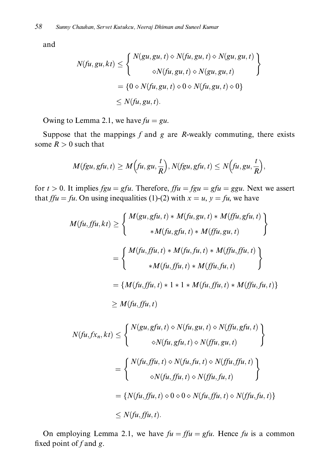and

$$
N(fu, gu, kt) \leq \begin{cases} N(gu, gu, t) \diamond N(fu, gu, t) \diamond N(gu, gu, t) \\ \diamond N(fu, gu, t) \diamond N(gu, gu, t) \end{cases}
$$
  
=  $\{0 \diamond N(fu, gu, t) \diamond 0 \diamond N(fu, gu, t) \diamond 0\}$   
 $\leq N(fu, gu, t).$ 

Owing to Lemma 2.1, we have  $fu = gu$ .

Suppose that the mappings  $f$  and  $g$  are  $R$ -weakly commuting, there exists some  $R > 0$  such that

$$
M(fgu, gfu, t) \ge M\Big(fu, gu, \frac{t}{R}\Big), N(fgu, gfu, t) \le N\Big(fu, gu, \frac{t}{R}\Big),
$$

for  $t > 0$ . It implies  $fgu = gfu$ . Therefore,  $ffu = fgu = gfu = ggu$ . Next we assert that  $f f u = f u$ . On using inequalities (1)-(2) with  $x = u$ ,  $y = f u$ , we have

$$
M(tu, ffu, kt) \geq \begin{cases} M(gu, gfu, t) * M(tu, gu, t) * M(ffu, gfu, t) \\ * M(tu, gfu, t) * M(ffu, gu, t) \end{cases}
$$
  
\n
$$
= \begin{cases} M(tu, ffu, t) * M(tu, fu, t) * M(ffu, fu, t) \\ * M(tu, ffu, t) * M(ffu, fu, t) \end{cases}
$$
  
\n
$$
= \{M(tu, ffu, t) * 1 * 1 * M(tu, ffu, t) * M(ffu, fu, t)\}
$$
  
\n
$$
\geq M(tu, ffu, t)
$$
  
\n
$$
N(tu, f.x_n, kt) \leq \begin{cases} N(gu, gfu, t) \diamond N(tu, gu, t) \diamond N(ffu, gfu, t) \\ \diamond N(tu, gfu, t) \diamond N(ffu, gu, t) \end{cases}
$$
  
\n
$$
= \begin{cases} N(tu, ffu, t) \diamond N(tu, fu, t) \diamond N(ffu, fu, t) \\ \diamond N(tu, ffu, t) \diamond N(ffu, fu, t) \end{cases}
$$
  
\n
$$
= \{N(tu, ffu, t) \diamond 0 \diamond 0 \diamond N(tu, ffu, t) \diamond N(ffu, fu, t)\}
$$
  
\n
$$
\leq N(tu, ffu, t).
$$

On employing Lemma 2.1, we have  $fu = ffu = gfu$ . Hence fu is a common fixed point of  $f$  and  $g$ .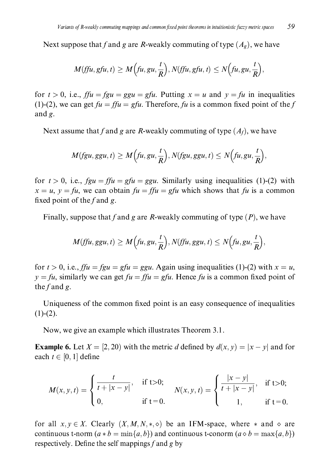Next suppose that f and g are R-weakly commuting of type  $(A_g)$ , we have

$$
M(fju, gfu, t) \geq M\left(fu, gu, \frac{t}{R}\right), N(fju, gfu, t) \leq N\left(fu, gu, \frac{t}{R}\right),
$$

for  $t > 0$ , i.e.,  $f f u = f g u = g g u = g f u$ . Putting  $x = u$  and  $y = f u$  in inequalities (1)-(2), we can get  $fu = ffu = gfu$ . Therefore, fu is a common fixed point of the f and  $g$ .

Next assume that f and g are R-weakly commuting of type  $(A_f)$ , we have

$$
M(fgu, ggu, t) \ge M\Big(tu, gu, \frac{t}{R}\Big), N(fgu, ggu, t) \le N\Big(tu, gu, \frac{t}{R}\Big),
$$

for  $t > 0$ , i.e.,  $fgu = ffu = gfu = ggu$ . Similarly using inequalities (1)-(2) with  $x = u$ ,  $y = fu$ , we can obtain  $fu = ffu = gfu$  which shows that fu is a common fixed point of the f and g.

Finally, suppose that f and g are R-weakly commuting of type  $(P)$ , we have

$$
M(fju, ggu, t) \ge M\left(fu, gu, \frac{t}{R}\right), N(fju, ggu, t) \le N\left(fu, gu, \frac{t}{R}\right),
$$

for  $t > 0$ , i.e.,  $f f u = f g u = g f u = g g u$ . Again using inequalities (1)-(2) with  $x = u$ ,  $y = fu$ , similarly we can get  $fu = ffu = gfu$ . Hence fu is a common fixed point of the  $f$  and  $g$ .

Uniqueness of the common fixed point is an easy consequence of inequalities  $(1)-(2).$ 

Now, we give an example which illustrates Theorem 3.1.

**Example 6.** Let  $X = [2, 20)$  with the metric d defined by  $d(x, y) = |x - y|$  and for each  $t \in [0, 1]$  define

$$
M(x, y, t) = \begin{cases} \frac{t}{t + |x - y|}, & \text{if } t > 0; \\ 0, & \text{if } t = 0. \end{cases} \qquad N(x, y, t) = \begin{cases} \frac{|x - y|}{t + |x - y|}, & \text{if } t > 0; \\ 1, & \text{if } t = 0. \end{cases}
$$

for all  $x, y \in X$ . Clearly  $(X, M, N, * , \diamond)$  be an IFM-space, where  $*$  and  $\diamond$  are continuous t-norm  $(a * b = min\{a, b\})$  and continuous t-conorm  $(a \circ b = max\{a, b\})$ respectively. Define the self mappings  $f$  and  $g$  by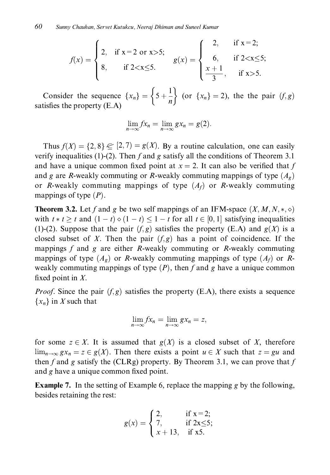$$
f(x) = \begin{cases} 2, & \text{if } x = 2 \text{ or } x > 5; \\ 8, & \text{if } 2 < x \le 5. \end{cases} \qquad g(x) = \begin{cases} 2, & \text{if } x = 2; \\ 6, & \text{if } 2 < x \le 5; \\ \frac{x+1}{3}, & \text{if } x > 5. \end{cases}
$$

Consider the sequence  $\{x_n\} = \left\{5 + \frac{1}{n}\right\}$  (or  $\{x_n\} = 2$ ), the the pair  $(f, g)$  satisfies the property (E.A)

$$
\lim_{n\to\infty}fx_n=\lim_{n\to\infty}gx_n=g(2).
$$

Thus  $f(X) = \{2, 8\} \in [2, 7) = g(X)$ . By a routine calculation, one can easily verify inequalities (1)-(2). Then  $f$  and  $g$  satisfy all the conditions of Theorem 3.1 and have a unique common fixed point at  $x = 2$ . It can also be verified that f and g are R-weakly commuting or R-weakly commuting mappings of type  $(A_g)$ or R-weakly commuting mappings of type  $(A_f)$  or R-weakly commuting mappings of type  $(P)$ .

**Theorem 3.2.** Let f and g be two self mappings of an IFM-space  $(X, M, N, *, \diamond)$ with  $t * t \geq t$  and  $(1-t) \diamond (1-t) \leq 1-t$  for all  $t \in [0,1]$  satisfying inequalities (1)-(2). Suppose that the pair  $(f, g)$  satisfies the property (E.A) and  $g(X)$  is a closed subset of X. Then the pair  $(f, g)$  has a point of coincidence. If the mappings  $f$  and  $g$  are either  $R$ -weakly commuting or  $R$ -weakly commuting mappings of type  $(A_g)$  or R-weakly commuting mappings of type  $(A_f)$  or Rweakly commuting mappings of type  $(P)$ , then f and g have a unique common fixed point in  $X$ .

*Proof.* Since the pair  $(f, g)$  satisfies the property (E.A), there exists a sequence  $\{x_n\}$  in X such that

$$
\lim_{n\to\infty}fx_n=\lim_{n\to\infty}gx_n=z,
$$

for some  $z \in X$ . It is assumed that  $g(X)$  is a closed subset of X, therefore  $\lim_{n\to\infty} gx_n = z \in g(X)$ . Then there exists a point  $u \in X$  such that  $z = gu$  and then f and g satisfy the (CLRg) property. By Theorem 3.1, we can prove that f and g have a unique common fixed point.

**Example 7.** In the setting of Example 6, replace the mapping g by the following, besides retaining the rest:

$$
g(x) = \begin{cases} 2, & \text{if } x = 2; \\ 7, & \text{if } 2x \le 5; \\ x + 13, & \text{if } x5. \end{cases}
$$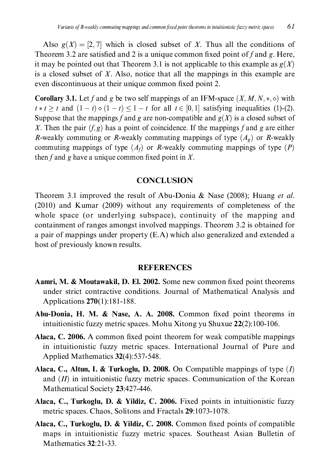Also  $g(X) = [2, 7]$  which is closed subset of X. Thus all the conditions of Theorem 3.2 are satisfied and 2 is a unique common fixed point of f and g. Here, it may be pointed out that Theorem 3.1 is not applicable to this example as  $g(X)$ is a closed subset of  $X$ . Also, notice that all the mappings in this example are even discontinuous at their unique common fixed point 2.

**Corollary 3.1.** Let f and g be two self mappings of an IFM-space  $(X, M, N, *, \diamond)$  with  $t * t > t$  and  $(1-t) \circ (1-t) \leq 1-t$  for all  $t \in [0,1]$  satisfying inequalities (1)-(2). Suppose that the mappings f and g are non-compatible and  $g(X)$  is a closed subset of X. Then the pair  $(f, g)$  has a point of coincidence. If the mappings f and g are either R-weakly commuting or R-weakly commuting mappings of type  $(A_g)$  or R-weakly commuting mappings of type  $(A<sub>f</sub>)$  or R-weakly commuting mappings of type  $(P)$ then f and g have a unique common fixed point in  $X$ .

### **CONCLUSION**

Theorem 3.1 improved the result of Abu-Donia & Nase (2008); Huang *et al.* (2010) and Kumar (2009) without any requirements of completeness of the whole space (or underlying subspace), continuity of the mapping and containment of ranges amongst involved mappings. Theorem 3.2 is obtained for a pair of mappings under property (E.A) which also generalized and extended a host of previously known results.

### **REFERENCES**

- **Aamri, M. & Moutawakil, D. El. 2002.** Some new common fixed point theorems under strict contractive conditions. Journal of Mathematical Analysis and Applications 270(1):181-188.
- Abu-Donia, H. M. & Nase, A. A. 2008. Common fixed point theorems in intuitionistic fuzzy metric spaces. Mohu Xitong yu Shuxue 22(2):100-106.
- Alaca, C. 2006. A common fixed point theorem for weak compatible mappings in intuitionistic fuzzy metric spaces. International Journal of Pure and Applied Mathematics 32(4):537-548.
- **Alaca, C., Altun, I. & Turkoglu, D. 2008.** On Compatible mappings of type  $(I)$ and  $(II)$  in intuitionistic fuzzy metric spaces. Communication of the Korean Mathematical Society 23:427-446.
- Alaca, C., Turkoglu, D. & Yildiz, C. 2006. Fixed points in intuitionistic fuzzy metric spaces. Chaos, Solitons and Fractals 29:1073-1078.
- Alaca, C., Turkoglu, D. & Yildiz, C. 2008. Common fixed points of compatible maps in intuitionistic fuzzy metric spaces. Southeast Asian Bulletin of Mathematics 32:21-33.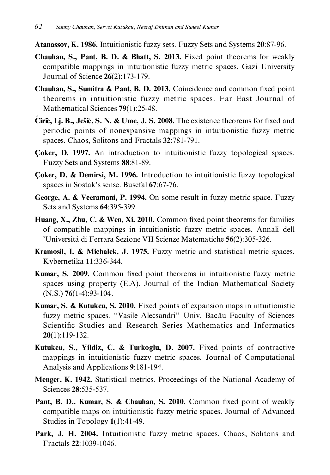- **Atanassov, K. 1986.** Intuitionistic fuzzy sets. Fuzzy Sets and Systems 20:87-96.
- Chauhan, S., Pant, B. D. & Bhatt, S. 2013. Fixed point theorems for weakly compatible mappings in intuitionistic fuzzy metric spaces. Gazi University Journal of Science 26(2):173-179.
- **Chauhan, S., Sumitra & Pant, B. D. 2013.** Coincidence and common fixed point theorems in intuitionistic fuzzy metric spaces. Far East Journal of Mathematical Sciences 79(1):25-48.
- Cirić, Lj. B., Ješić, S. N. & Ume, J. S. 2008. The existence theorems for fixed and periodic points of nonexpansive mappings in intuitionistic fuzzy metric spaces. Chaos, Solitons and Fractals 32:781-791.
- Coker, D. 1997. An introduction to intuitionistic fuzzy topological spaces. Fuzzy Sets and Systems 88:81-89.
- Coker, D. & Demirsi, M. 1996. Introduction to intuitionistic fuzzy topological spaces in Sostak's sense. Busefal 67:67-76.
- George, A. & Veeramani, P. 1994. On some result in fuzzy metric space. Fuzzy Sets and Systems 64:395-399.
- Huang, X., Zhu, C. & Wen, Xi. 2010. Common fixed point theorems for families of compatible mappings in intuitionistic fuzzy metric spaces. Annali dell 'Università di Ferrara Sezione VII Scienze Matematiche 56(2):305-326.
- Kramosil, I. & Michalek, J. 1975. Fuzzy metric and statistical metric spaces. Kybernetika 11:336-344.
- Kumar, S. 2009. Common fixed point theorems in intuitionistic fuzzy metric spaces using property (E.A). Journal of the Indian Mathematical Society  $(N.S.)$  76(1-4):93-104.
- **Kumar, S. & Kutukcu, S. 2010.** Fixed points of expansion maps in intuitionistic fuzzy metric spaces. "Vasile Alecsandri" Univ. Bacău Faculty of Sciences Scientific Studies and Research Series Mathematics and Informatics  $20(1):119-132.$
- Kutukcu, S., Yildiz, C. & Turkoglu, D. 2007. Fixed points of contractive mappings in intuitionistic fuzzy metric spaces. Journal of Computational Analysis and Applications 9:181-194.
- Menger, K. 1942. Statistical metrics. Proceedings of the National Academy of Sciences 28:535-537.
- Pant, B. D., Kumar, S. & Chauhan, S. 2010. Common fixed point of weakly compatible maps on intuitionistic fuzzy metric spaces. Journal of Advanced Studies in Topology  $1(1):41-49$ .
- Park, J. H. 2004. Intuitionistic fuzzy metric spaces. Chaos, Solitons and Fractals 22:1039-1046.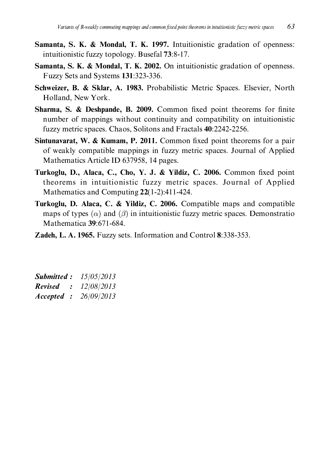- Samanta, S. K. & Mondal, T. K. 1997. Intuitionistic gradation of openness: intuitionistic fuzzy topology. Busefal 73:8-17.
- **Samanta, S. K. & Mondal, T. K. 2002.** On intuitionistic gradation of openness. Fuzzy Sets and Systems 131:323-336.
- Schweizer, B. & Sklar, A. 1983. Probabilistic Metric Spaces. Elsevier, North Holland, New York.
- Sharma, S. & Deshpande, B. 2009. Common fixed point theorems for finite number of mappings without continuity and compatibility on intuitionistic fuzzy metric spaces. Chaos, Solitons and Fractals 40:2242-2256.
- **Sintunavarat, W. & Kumam, P. 2011.** Common fixed point theorems for a pair of weakly compatible mappings in fuzzy metric spaces. Journal of Applied Mathematics Article ID 637958, 14 pages.
- Turkoglu, D., Alaca, C., Cho, Y. J. & Yildiz, C. 2006. Common fixed point theorems in intuitionistic fuzzy metric spaces. Journal of Applied Mathematics and Computing  $22(1-2)$ :411-424.
- Turkoglu, D. Alaca, C. & Yildiz, C. 2006. Compatible maps and compatible maps of types  $(\alpha)$  and  $(\beta)$  in intuitionistic fuzzy metric spaces. Demonstratio Mathematica 39:671-684.
- Zadeh, L. A. 1965. Fuzzy sets. Information and Control 8:338-353.

| <b>Submitted:</b>         | 15/05/2013 |
|---------------------------|------------|
| <b>Revised</b><br>$\cdot$ | 12/08/2013 |
| Accepted :                | 26/09/2013 |